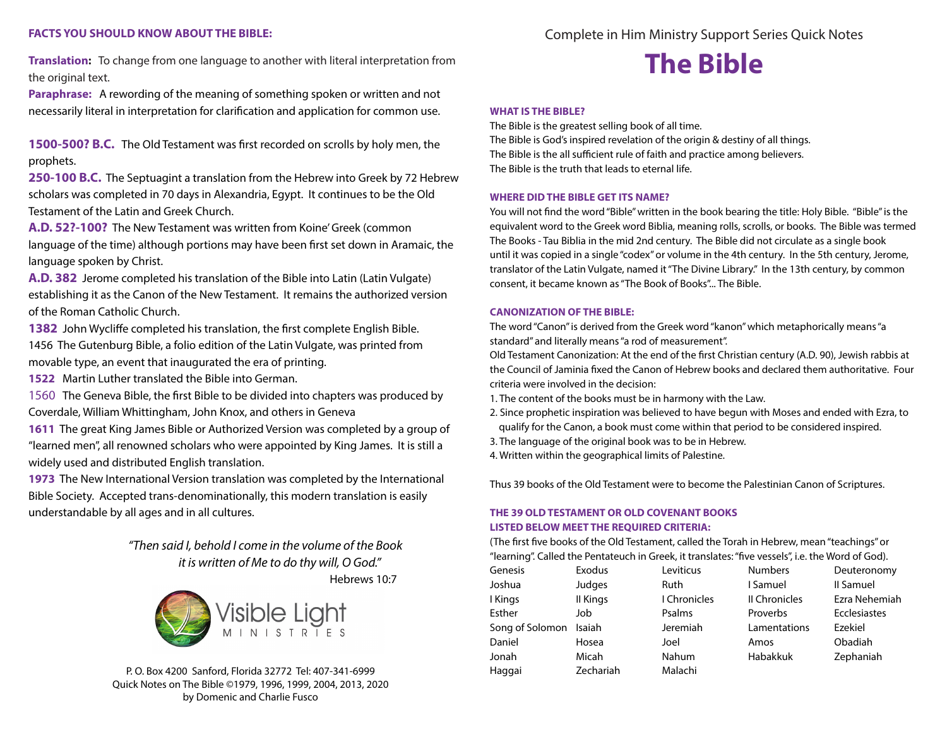# **FACTS YOU SHOULD KNOW ABOUT THE BIBLE:**

**Translation:** To change from one language to another with literal interpretation from the original text.

**Paraphrase:** A rewording of the meaning of something spoken or written and not necessarily literal in interpretation for clarification and application for common use.

**1500-500? B.C.** The Old Testament was first recorded on scrolls by holy men, the prophets.

**250-100 B.C.** The Septuagint a translation from the Hebrew into Greek by 72 Hebrew scholars was completed in 70 days in Alexandria, Egypt. It continues to be the Old Testament of the Latin and Greek Church.

**A.D. 52?-100?** The New Testament was written from Koine' Greek (common language of the time) although portions may have been first set down in Aramaic, the language spoken by Christ.

**A.D. 382** Jerome completed his translation of the Bible into Latin (Latin Vulgate) establishing it as the Canon of the New Testament. It remains the authorized version of the Roman Catholic Church.

**1382** John Wycliffe completed his translation, the first complete English Bible. 1456 The Gutenburg Bible, a folio edition of the Latin Vulgate, was printed from movable type, an event that inaugurated the era of printing.

**1522** Martin Luther translated the Bible into German.

1560 The Geneva Bible, the first Bible to be divided into chapters was produced by Coverdale, William Whittingham, John Knox, and others in Geneva

**1611** The great King James Bible or Authorized Version was completed by a group of "learned men", all renowned scholars who were appointed by King James. It is still a widely used and distributed English translation.

**1973** The New International Version translation was completed by the International Bible Society. Accepted trans-denominationally, this modern translation is easily understandable by all ages and in all cultures.

> *"Then said I, behold I come in the volume of the Book it is written of Me to do thy will, O God."*

> > Hebrews 10:7



Complete in Him Ministry Support Series Quick Notes

# **The Bible**

#### **WHAT IS THE BIBLE?**

The Bible is the greatest selling book of all time. The Bible is God's inspired revelation of the origin & destiny of all things. The Bible is the all sufficient rule of faith and practice among believers. The Bible is the truth that leads to eternal life.

#### **WHERE DID THE BIBLE GET ITS NAME?**

You will not find the word "Bible" written in the book bearing the title: Holy Bible. "Bible" is the equivalent word to the Greek word Biblia, meaning rolls, scrolls, or books. The Bible was termed The Books - Tau Biblia in the mid 2nd century. The Bible did not circulate as a single book until it was copied in a single "codex" or volume in the 4th century. In the 5th century, Jerome, translator of the Latin Vulgate, named it "The Divine Library." In the 13th century, by common consent, it became known as "The Book of Books"... The Bible.

#### **CANONIZATION OF THE BIBLE:**

The word "Canon" is derived from the Greek word "kanon" which metaphorically means "a standard" and literally means "a rod of measurement".

Old Testament Canonization: At the end of the first Christian century (A.D. 90), Jewish rabbis at the Council of Jaminia fixed the Canon of Hebrew books and declared them authoritative. Four criteria were involved in the decision:

- 1. The content of the books must be in harmony with the Law.
- 2. Since prophetic inspiration was believed to have begun with Moses and ended with Ezra, to qualify for the Canon, a book must come within that period to be considered inspired.
- 3. The language of the original book was to be in Hebrew.
- 4. Written within the geographical limits of Palestine.

Thus 39 books of the Old Testament were to become the Palestinian Canon of Scriptures.

# **THE 39 OLD TESTAMENT OR OLD COVENANT BOOKS LISTED BELOW MEET THE REQUIRED CRITERIA:**

(The first five books of the Old Testament, called the Torah in Hebrew, mean "teachings" or "learning". Called the Pentateuch in Greek, it translates: "five vessels", i.e. the Word of God).

| Genesis         | Exodus    | Leviticus    | <b>Numbers</b> | Deuteronomy   |
|-----------------|-----------|--------------|----------------|---------------|
| Joshua          | Judges    | Ruth         | I Samuel       | Il Samuel     |
| I Kings         | II Kings  | I Chronicles | Il Chronicles  | Ezra Nehemiah |
| Esther          | Job       | Psalms       | Proverbs       | Ecclesiastes  |
| Song of Solomon | Isaiah    | Jeremiah     | Lamentations   | Ezekiel       |
| Daniel          | Hosea     | Joel         | Amos           | Obadiah       |
| Jonah           | Micah     | Nahum        | Habakkuk       | Zephaniah     |
| Haggai          | Zechariah | Malachi      |                |               |